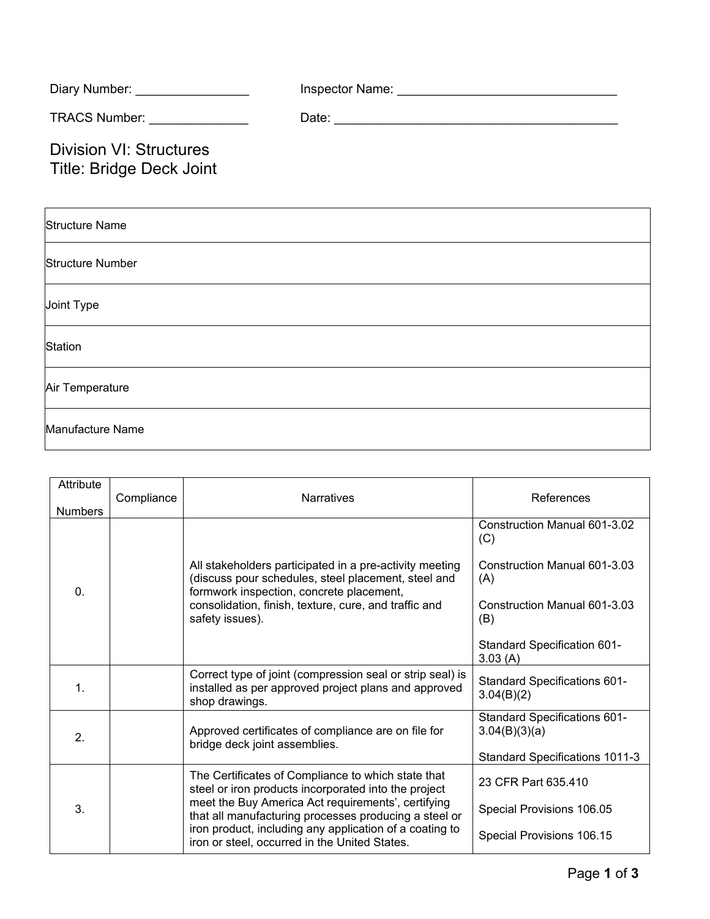| Diary Number: _________________                                   |                                                                                  |
|-------------------------------------------------------------------|----------------------------------------------------------------------------------|
| TRACS Number: ________________                                    |                                                                                  |
| <b>Division VI: Structures</b><br><b>Title: Bridge Deck Joint</b> |                                                                                  |
| <b>Structure Name</b>                                             |                                                                                  |
| <b>Structure Number</b>                                           |                                                                                  |
| Joint Type                                                        | ,我们也不会有什么。""我们的人,我们也不会有什么?""我们的人,我们也不会有什么?""我们的人,我们也不会有什么?""我们的人,我们也不会有什么?""我们的人 |
| Station                                                           |                                                                                  |
| Air Temperature                                                   |                                                                                  |
| Manufacture Name                                                  |                                                                                  |

| Attribute<br><b>Numbers</b> | Compliance | <b>Narratives</b>                                                                                                                                                                                                                                                                                                                     | References                                                                 |
|-----------------------------|------------|---------------------------------------------------------------------------------------------------------------------------------------------------------------------------------------------------------------------------------------------------------------------------------------------------------------------------------------|----------------------------------------------------------------------------|
| $\mathbf{0}$ .              |            | All stakeholders participated in a pre-activity meeting<br>(discuss pour schedules, steel placement, steel and<br>formwork inspection, concrete placement,<br>consolidation, finish, texture, cure, and traffic and<br>safety issues).                                                                                                | Construction Manual 601-3.02<br>(C)<br>Construction Manual 601-3.03<br>(A) |
|                             |            |                                                                                                                                                                                                                                                                                                                                       | Construction Manual 601-3.03<br>(B)                                        |
|                             |            |                                                                                                                                                                                                                                                                                                                                       | Standard Specification 601-<br>3.03(A)                                     |
| $\mathbf 1$ .               |            | Correct type of joint (compression seal or strip seal) is<br>installed as per approved project plans and approved<br>shop drawings.                                                                                                                                                                                                   | <b>Standard Specifications 601-</b><br>3.04(B)(2)                          |
| $\overline{2}$ .            |            | Approved certificates of compliance are on file for<br>bridge deck joint assemblies.                                                                                                                                                                                                                                                  | <b>Standard Specifications 601-</b><br>3.04(B)(3)(a)                       |
|                             |            |                                                                                                                                                                                                                                                                                                                                       | Standard Specifications 1011-3                                             |
| 3.                          |            | The Certificates of Compliance to which state that<br>steel or iron products incorporated into the project<br>meet the Buy America Act requirements', certifying<br>that all manufacturing processes producing a steel or<br>iron product, including any application of a coating to<br>iron or steel, occurred in the United States. | 23 CFR Part 635.410                                                        |
|                             |            |                                                                                                                                                                                                                                                                                                                                       | Special Provisions 106.05                                                  |
|                             |            |                                                                                                                                                                                                                                                                                                                                       | Special Provisions 106.15                                                  |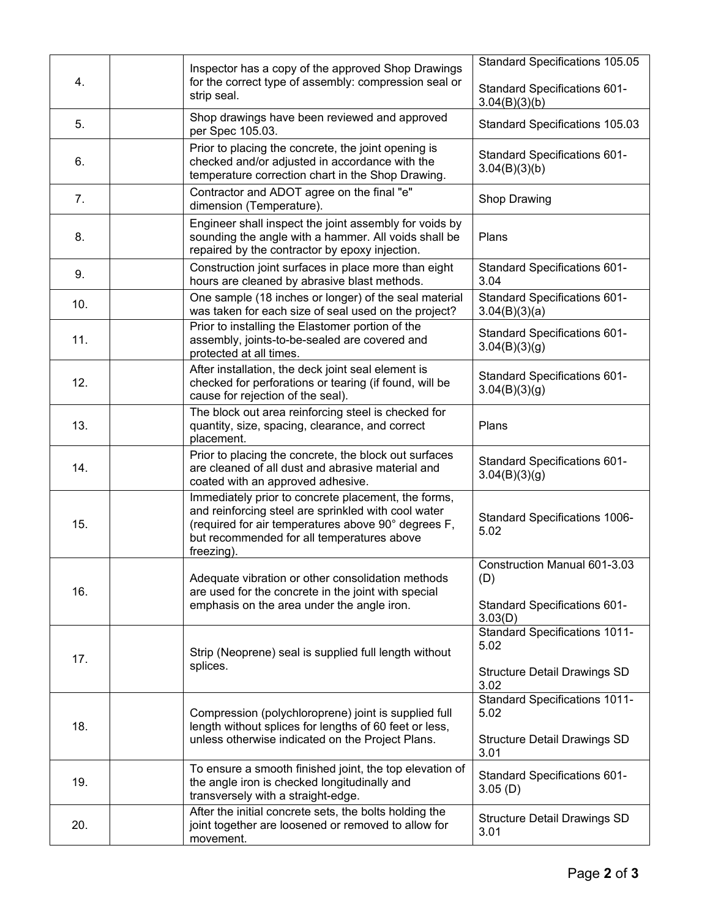|     |  |                                                                                                                                                                                                                               | Standard Specifications 105.05                                             |
|-----|--|-------------------------------------------------------------------------------------------------------------------------------------------------------------------------------------------------------------------------------|----------------------------------------------------------------------------|
| 4.  |  | Inspector has a copy of the approved Shop Drawings<br>for the correct type of assembly: compression seal or<br>strip seal.                                                                                                    | Standard Specifications 601-<br>3.04(B)(3)(b)                              |
| 5.  |  | Shop drawings have been reviewed and approved<br>per Spec 105.03.                                                                                                                                                             | Standard Specifications 105.03                                             |
| 6.  |  | Prior to placing the concrete, the joint opening is<br>checked and/or adjusted in accordance with the<br>temperature correction chart in the Shop Drawing.                                                                    | <b>Standard Specifications 601-</b><br>3.04(B)(3)(b)                       |
| 7.  |  | Contractor and ADOT agree on the final "e"<br>dimension (Temperature).                                                                                                                                                        | Shop Drawing                                                               |
| 8.  |  | Engineer shall inspect the joint assembly for voids by<br>sounding the angle with a hammer. All voids shall be<br>repaired by the contractor by epoxy injection.                                                              | Plans                                                                      |
| 9.  |  | Construction joint surfaces in place more than eight<br>hours are cleaned by abrasive blast methods.                                                                                                                          | <b>Standard Specifications 601-</b><br>3.04                                |
| 10. |  | One sample (18 inches or longer) of the seal material<br>was taken for each size of seal used on the project?                                                                                                                 | <b>Standard Specifications 601-</b><br>3.04(B)(3)(a)                       |
| 11. |  | Prior to installing the Elastomer portion of the<br>assembly, joints-to-be-sealed are covered and<br>protected at all times.                                                                                                  | Standard Specifications 601-<br>3.04(B)(3)(g)                              |
| 12. |  | After installation, the deck joint seal element is<br>checked for perforations or tearing (if found, will be<br>cause for rejection of the seal).                                                                             | <b>Standard Specifications 601-</b><br>3.04(B)(3)(g)                       |
| 13. |  | The block out area reinforcing steel is checked for<br>quantity, size, spacing, clearance, and correct<br>placement.                                                                                                          | Plans                                                                      |
| 14. |  | Prior to placing the concrete, the block out surfaces<br>are cleaned of all dust and abrasive material and<br>coated with an approved adhesive.                                                                               | <b>Standard Specifications 601-</b><br>3.04(B)(3)(g)                       |
| 15. |  | Immediately prior to concrete placement, the forms,<br>and reinforcing steel are sprinkled with cool water<br>(required for air temperatures above 90° degrees F,<br>but recommended for all temperatures above<br>freezing). | <b>Standard Specifications 1006-</b><br>5.02                               |
| 16. |  | Adequate vibration or other consolidation methods<br>are used for the concrete in the joint with special<br>emphasis on the area under the angle iron.                                                                        | Construction Manual 601-3.03<br>(D)<br><b>Standard Specifications 601-</b> |
|     |  |                                                                                                                                                                                                                               | 3.03(D)                                                                    |
| 17. |  | Strip (Neoprene) seal is supplied full length without<br>splices.                                                                                                                                                             | <b>Standard Specifications 1011-</b><br>5.02                               |
|     |  |                                                                                                                                                                                                                               | <b>Structure Detail Drawings SD</b><br>3.02                                |
| 18. |  | Compression (polychloroprene) joint is supplied full<br>length without splices for lengths of 60 feet or less,<br>unless otherwise indicated on the Project Plans.                                                            | <b>Standard Specifications 1011-</b><br>5.02                               |
|     |  |                                                                                                                                                                                                                               | <b>Structure Detail Drawings SD</b><br>3.01                                |
| 19. |  | To ensure a smooth finished joint, the top elevation of<br>the angle iron is checked longitudinally and<br>transversely with a straight-edge.                                                                                 | <b>Standard Specifications 601-</b><br>3.05(D)                             |
| 20. |  | After the initial concrete sets, the bolts holding the<br>joint together are loosened or removed to allow for<br>movement.                                                                                                    | <b>Structure Detail Drawings SD</b><br>3.01                                |